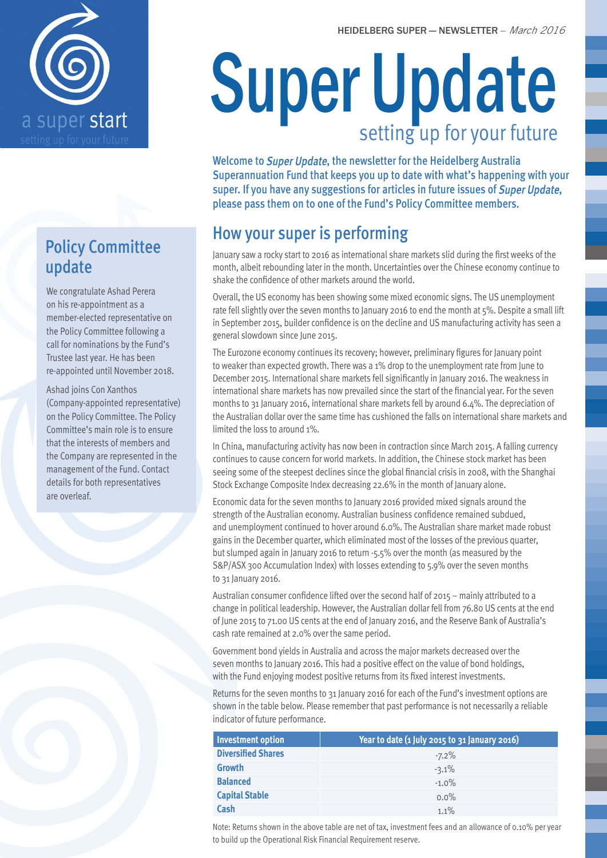

## Policy Committee update

We congratulate Ashad Perera on his re-appointment as a member-elected representative on the Policy Committee following a call for nominations by the Fund's Trustee last year. He has been re-appointed until November 2018.

Ashad joins Con Xanthos (Company-appointed representative) on the Policy Committee. The Policy Committee's main role is to ensure that the interests of members and the Company are represented in the management of the Fund. Contact details for both representatives are overleaf.

# Super Update setting up for your future

Welcome to Super Update, the newsletter for the Heidelberg Australia Superannuation Fund that keeps you up to date with what's happening with your super. If you have any suggestions for articles in future issues of Super Update, please pass them on to one of the Fund's Policy Committee members.

## How your super is performing

January saw a rocky start to 2016 as international share markets slid during the first weeks of the month, albeit rebounding later in the month. Uncertainties over the Chinese economy continue to shake the confidence of other markets around the world.

Overall, the US economy has been showing some mixed economic signs. The US unemployment rate fell slightly over the seven months to January 2016 to end the month at 5%. Despite a small lift in September 2015, builder confidence is on the decline and US manufacturing activity has seen a general slowdown since June 2015.

The Eurozone economy continues its recovery; however, preliminary figures for January point to weaker than expected growth. There was a 1% drop to the unemployment rate from June to December 2015. International share markets fell significantly in January 2016. The weakness in international share markets has now prevailed since the start of the financial year. For the seven months to 31 January 2016, international share markets fell by around 6.4%. The depreciation of the Australian dollar over the same time has cushioned the falls on international share markets and limited the loss to around 1%.

In China, manufacturing activity has now been in contraction since March 2015. A falling currency continues to cause concern for world markets. In addition, the Chinese stock market has been seeing some of the steepest declines since the global financial crisis in 2008, with the Shanghai Stock Exchange Composite Index decreasing 22.6% in the month of January alone.

Economic data for the seven months to January 2016 provided mixed signals around the strength of the Australian economy. Australian business confidence remained subdued, and unemployment continued to hover around 6.0%. The Australian share market made robust gains in the December quarter, which eliminated most of the losses of the previous quarter, but slumped again in January 2016 to return -5.5% over the month (as measured by the S&P/ASX 300 Accumulation Index) with losses extending to 5.9% over the seven months to 31 January 2016.

Australian consumer confidence lifted over the second half of 2015 – mainly attributed to a change in political leadership. However, the Australian dollar fell from 76.80 US cents at the end of June 2015 to 71.00 US cents at the end of January 2016, and the Reserve Bank of Australia's cash rate remained at 2.0% over the same period.

Government bond yields in Australia and across the major markets decreased over the seven months to January 2016. This had a positive effect on the value of bond holdings, with the Fund enjoying modest positive returns from its fixed interest investments.

Returns for the seven months to 31 January 2016 for each of the Fund's investment options are shown in the table below. Please remember that past performance is not necessarily a reliable indicator of future performance.

| Investment option         | Year to date (1 July 2015 to 31 January 2016) |
|---------------------------|-----------------------------------------------|
| <b>Diversified Shares</b> | $-7.2\%$                                      |
| <b>Growth</b>             | $-3.1%$                                       |
| <b>Balanced</b>           | $-1.0\%$                                      |
| <b>Capital Stable</b>     | $0.0\%$                                       |
| Cash                      | $1.1\%$                                       |

Note: Returns shown in the above table are net of tax, investment fees and an allowance of 0.10% per year to build up the Operational Risk Financial Requirement reserve.